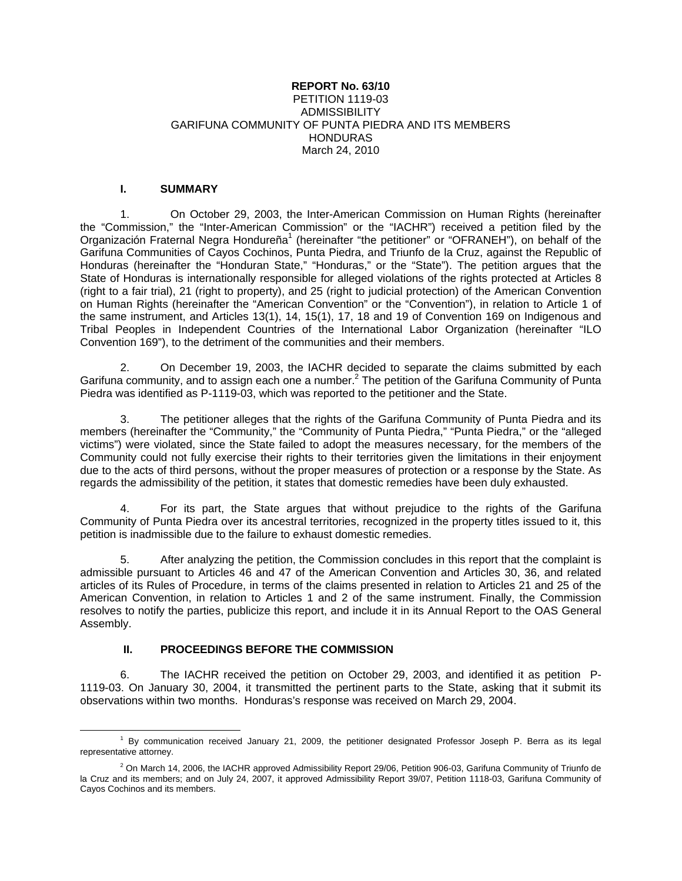#### **REPORT No. 63/10** PETITION 1119-03 **ADMISSIBILITY** GARIFUNA COMMUNITY OF PUNTA PIEDRA AND ITS MEMBERS HONDURAS March 24, 2010

#### **I. SUMMARY**

1. On October 29, 2003, the Inter-American Commission on Human Rights (hereinafter the "Commission," the "Inter-American Commission" or the "IACHR") received a petition filed by the Organización Fraternal Negra Hondureña<sup>1</sup> (hereinafter "the petitioner" or "OFRANEH"), on behalf of the Garifuna Communities of Cayos Cochinos, Punta Piedra, and Triunfo de la Cruz, against the Republic of Honduras (hereinafter the "Honduran State," "Honduras," or the "State"). The petition argues that the State of Honduras is internationally responsible for alleged violations of the rights protected at Articles 8 (right to a fair trial), 21 (right to property), and 25 (right to judicial protection) of the American Convention on Human Rights (hereinafter the "American Convention" or the "Convention"), in relation to Article 1 of the same instrument, and Articles 13(1), 14, 15(1), 17, 18 and 19 of Convention 169 on Indigenous and Tribal Peoples in Independent Countries of the International Labor Organization (hereinafter "ILO Convention 169"), to the detriment of the communities and their members.

2. On December 19, 2003, the IACHR decided to separate the claims submitted by each Garifuna community, and to assign each one a number.<sup>2</sup> The petition of the Garifuna Community of Punta Piedra was identified as P-1119-03, which was reported to the petitioner and the State.

The petitioner alleges that the rights of the Garifuna Community of Punta Piedra and its members (hereinafter the "Community," the "Community of Punta Piedra," "Punta Piedra," or the "alleged victims") were violated, since the State failed to adopt the measures necessary, for the members of the Community could not fully exercise their rights to their territories given the limitations in their enjoyment due to the acts of third persons, without the proper measures of protection or a response by the State. As regards the admissibility of the petition, it states that domestic remedies have been duly exhausted.

4. For its part, the State argues that without prejudice to the rights of the Garifuna Community of Punta Piedra over its ancestral territories, recognized in the property titles issued to it, this petition is inadmissible due to the failure to exhaust domestic remedies.

5. After analyzing the petition, the Commission concludes in this report that the complaint is admissible pursuant to Articles 46 and 47 of the American Convention and Articles 30, 36, and related articles of its Rules of Procedure, in terms of the claims presented in relation to Articles 21 and 25 of the American Convention, in relation to Articles 1 and 2 of the same instrument. Finally, the Commission resolves to notify the parties, publicize this report, and include it in its Annual Report to the OAS General Assembly.

# **II. PROCEEDINGS BEFORE THE COMMISSION**

6. The IACHR received the petition on October 29, 2003, and identified it as petition P-1119-03. On January 30, 2004, it transmitted the pertinent parts to the State, asking that it submit its observations within two months. Honduras's response was received on March 29, 2004.

<sup>&</sup>lt;u>1</u>  $<sup>1</sup>$  By communication received January 21, 2009, the petitioner designated Professor Joseph P. Berra as its legal</sup> representative attorney.

 $^2$  On March 14, 2006, the IACHR approved Admissibility Report 29/06, Petition 906-03, Garifuna Community of Triunfo de la Cruz and its members; and on July 24, 2007, it approved Admissibility Report 39/07, Petition 1118-03, Garifuna Community of Cayos Cochinos and its members.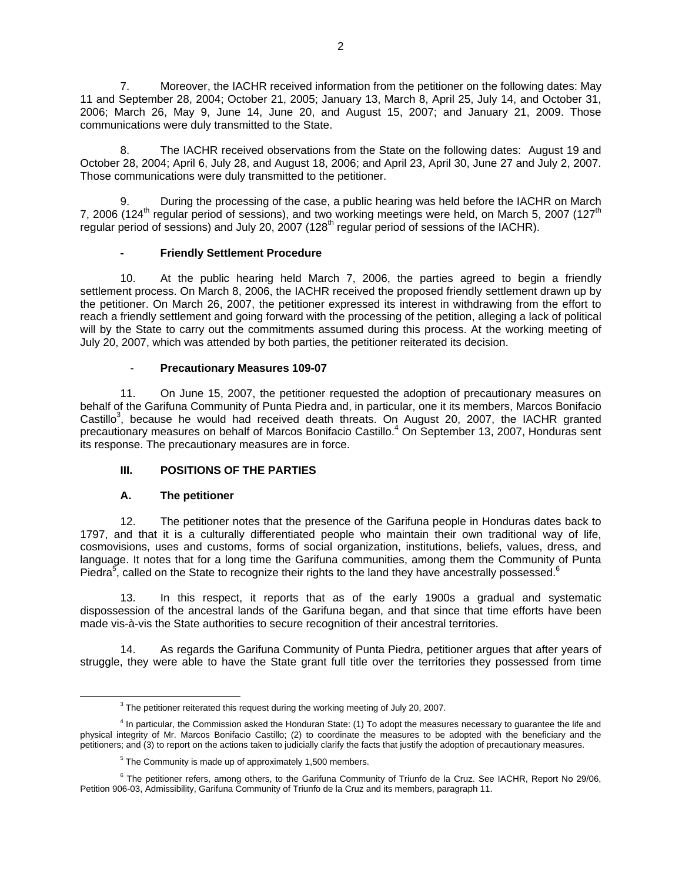7. Moreover, the IACHR received information from the petitioner on the following dates: May 11 and September 28, 2004; October 21, 2005; January 13, March 8, April 25, July 14, and October 31, 2006; March 26, May 9, June 14, June 20, and August 15, 2007; and January 21, 2009. Those communications were duly transmitted to the State.

8. The IACHR received observations from the State on the following dates: August 19 and October 28, 2004; April 6, July 28, and August 18, 2006; and April 23, April 30, June 27 and July 2, 2007. Those communications were duly transmitted to the petitioner.

9. During the processing of the case, a public hearing was held before the IACHR on March 7, 2006 (124<sup>th</sup> regular period of sessions), and two working meetings were held, on March 5, 2007 (127<sup>th</sup> regular period of sessions) and July 20, 2007 (128<sup>th</sup> regular period of sessions of the IACHR).

## **- Friendly Settlement Procedure**

10. At the public hearing held March 7, 2006, the parties agreed to begin a friendly settlement process. On March 8, 2006, the IACHR received the proposed friendly settlement drawn up by the petitioner. On March 26, 2007, the petitioner expressed its interest in withdrawing from the effort to reach a friendly settlement and going forward with the processing of the petition, alleging a lack of political will by the State to carry out the commitments assumed during this process. At the working meeting of July 20, 2007, which was attended by both parties, the petitioner reiterated its decision.

## - **Precautionary Measures 109-07**

11. On June 15, 2007, the petitioner requested the adoption of precautionary measures on behalf of the Garifuna Community of Punta Piedra and, in particular, one it its members, Marcos Bonifacio Castillo<sup>3</sup>, because he would had received death threats. On August 20, 2007, the IACHR granted precautionary measures on behalf of Marcos Bonifacio Castillo.<sup>4</sup> On September 13, 2007, Honduras sent its response. The precautionary measures are in force.

# **III. POSITIONS OF THE PARTIES**

#### **A. The petitioner**

12. The petitioner notes that the presence of the Garifuna people in Honduras dates back to 1797, and that it is a culturally differentiated people who maintain their own traditional way of life, cosmovisions, uses and customs, forms of social organization, institutions, beliefs, values, dress, and language. It notes that for a long time the Garifuna communities, among them the Community of Punta Piedra<sup>5</sup>, called on the State to recognize their rights to the land they have ancestrally possessed.<sup>6</sup>

13. In this respect, it reports that as of the early 1900s a gradual and systematic dispossession of the ancestral lands of the Garifuna began, and that since that time efforts have been made vis-à-vis the State authorities to secure recognition of their ancestral territories.

14. As regards the Garifuna Community of Punta Piedra, petitioner argues that after years of struggle, they were able to have the State grant full title over the territories they possessed from time

<sup>3</sup> <sup>3</sup> The petitioner reiterated this request during the working meeting of July 20, 2007.

<sup>&</sup>lt;sup>4</sup> In particular, the Commission asked the Honduran State: (1) To adopt the measures necessary to guarantee the life and physical integrity of Mr. Marcos Bonifacio Castillo; (2) to coordinate the measures to be adopted with the beneficiary and the petitioners; and (3) to report on the actions taken to judicially clarify the facts that justify the adoption of precautionary measures.

<sup>&</sup>lt;sup>5</sup> The Community is made up of approximately 1,500 members.

<sup>&</sup>lt;sup>6</sup> The petitioner refers, among others, to the Garifuna Community of Triunfo de la Cruz. See IACHR, Report No 29/06, Petition 906-03, Admissibility, Garifuna Community of Triunfo de la Cruz and its members, paragraph 11.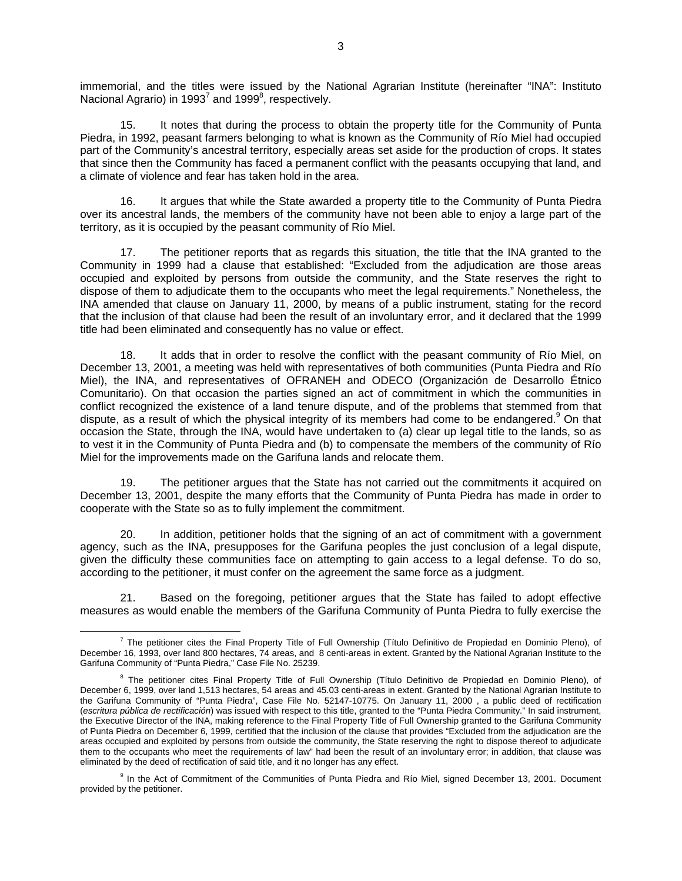immemorial, and the titles were issued by the National Agrarian Institute (hereinafter "INA": Instituto Nacional Agrario) in 1993<sup>7</sup> and 1999<sup>8</sup>, respectively.

15. It notes that during the process to obtain the property title for the Community of Punta Piedra, in 1992, peasant farmers belonging to what is known as the Community of Río Miel had occupied part of the Community's ancestral territory, especially areas set aside for the production of crops. It states that since then the Community has faced a permanent conflict with the peasants occupying that land, and a climate of violence and fear has taken hold in the area.

16. It argues that while the State awarded a property title to the Community of Punta Piedra over its ancestral lands, the members of the community have not been able to enjoy a large part of the territory, as it is occupied by the peasant community of Río Miel.

17. The petitioner reports that as regards this situation, the title that the INA granted to the Community in 1999 had a clause that established: "Excluded from the adjudication are those areas occupied and exploited by persons from outside the community, and the State reserves the right to dispose of them to adjudicate them to the occupants who meet the legal requirements." Nonetheless, the INA amended that clause on January 11, 2000, by means of a public instrument, stating for the record that the inclusion of that clause had been the result of an involuntary error, and it declared that the 1999 title had been eliminated and consequently has no value or effect.

18. It adds that in order to resolve the conflict with the peasant community of Río Miel, on December 13, 2001, a meeting was held with representatives of both communities (Punta Piedra and Río Miel), the INA, and representatives of OFRANEH and ODECO (Organización de Desarrollo Étnico Comunitario). On that occasion the parties signed an act of commitment in which the communities in conflict recognized the existence of a land tenure dispute, and of the problems that stemmed from that dispute, as a result of which the physical integrity of its members had come to be endangered.<sup>9</sup> On that occasion the State, through the INA, would have undertaken to (a) clear up legal title to the lands, so as to vest it in the Community of Punta Piedra and (b) to compensate the members of the community of Río Miel for the improvements made on the Garifuna lands and relocate them.

19. The petitioner argues that the State has not carried out the commitments it acquired on December 13, 2001, despite the many efforts that the Community of Punta Piedra has made in order to cooperate with the State so as to fully implement the commitment.

20. In addition, petitioner holds that the signing of an act of commitment with a government agency, such as the INA, presupposes for the Garifuna peoples the just conclusion of a legal dispute, given the difficulty these communities face on attempting to gain access to a legal defense. To do so, according to the petitioner, it must confer on the agreement the same force as a judgment.

21. Based on the foregoing, petitioner argues that the State has failed to adopt effective measures as would enable the members of the Garifuna Community of Punta Piedra to fully exercise the

<sup>7</sup>  $^7$  The petitioner cites the Final Property Title of Full Ownership (Título Definitivo de Propiedad en Dominio Pleno), of December 16, 1993, over land 800 hectares, 74 areas, and 8 centi-areas in extent. Granted by the National Agrarian Institute to the Garifuna Community of "Punta Piedra," Case File No. 25239.

<sup>&</sup>lt;sup>8</sup> The petitioner cites Final Property Title of Full Ownership (Título Definitivo de Propiedad en Dominio Pleno), of December 6, 1999, over land 1,513 hectares, 54 areas and 45.03 centi-areas in extent. Granted by the National Agrarian Institute to the Garifuna Community of "Punta Piedra", Case File No. 52147-10775. On January 11, 2000 , a public deed of rectification (*escritura pública de rectificación*) was issued with respect to this title, granted to the "Punta Piedra Community." In said instrument, the Executive Director of the INA, making reference to the Final Property Title of Full Ownership granted to the Garifuna Community of Punta Piedra on December 6, 1999, certified that the inclusion of the clause that provides "Excluded from the adjudication are the areas occupied and exploited by persons from outside the community, the State reserving the right to dispose thereof to adjudicate them to the occupants who meet the requirements of law" had been the result of an involuntary error; in addition, that clause was eliminated by the deed of rectification of said title, and it no longer has any effect.

<sup>&</sup>lt;sup>9</sup> In the Act of Commitment of the Communities of Punta Piedra and Río Miel, signed December 13, 2001. Document provided by the petitioner.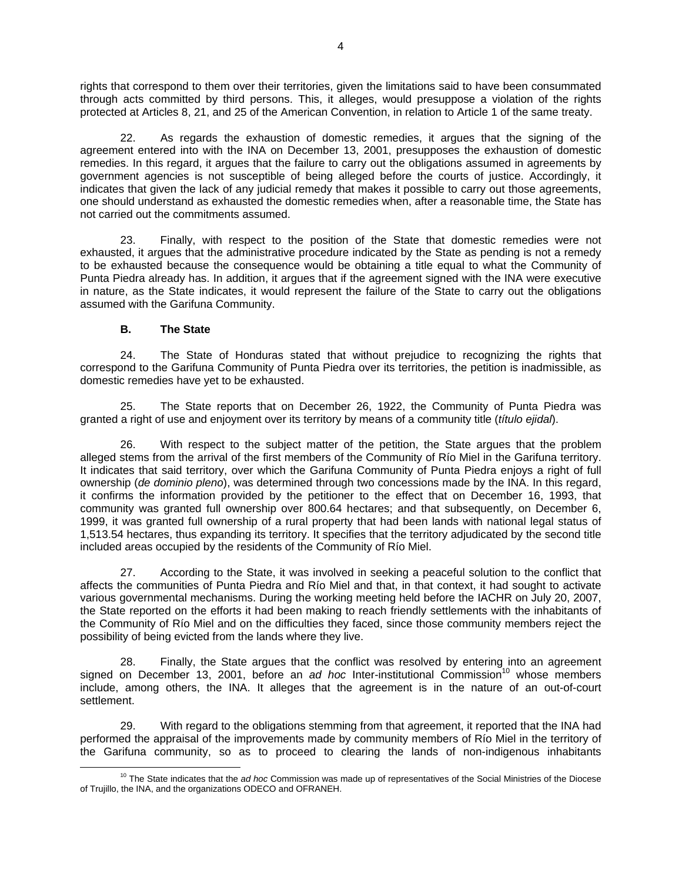rights that correspond to them over their territories, given the limitations said to have been consummated through acts committed by third persons. This, it alleges, would presuppose a violation of the rights protected at Articles 8, 21, and 25 of the American Convention, in relation to Article 1 of the same treaty.

As regards the exhaustion of domestic remedies, it argues that the signing of the agreement entered into with the INA on December 13, 2001, presupposes the exhaustion of domestic remedies. In this regard, it argues that the failure to carry out the obligations assumed in agreements by government agencies is not susceptible of being alleged before the courts of justice. Accordingly, it indicates that given the lack of any judicial remedy that makes it possible to carry out those agreements, one should understand as exhausted the domestic remedies when, after a reasonable time, the State has not carried out the commitments assumed.

23. Finally, with respect to the position of the State that domestic remedies were not exhausted, it argues that the administrative procedure indicated by the State as pending is not a remedy to be exhausted because the consequence would be obtaining a title equal to what the Community of Punta Piedra already has. In addition, it argues that if the agreement signed with the INA were executive in nature, as the State indicates, it would represent the failure of the State to carry out the obligations assumed with the Garifuna Community.

# **B. The State**

24. The State of Honduras stated that without prejudice to recognizing the rights that correspond to the Garifuna Community of Punta Piedra over its territories, the petition is inadmissible, as domestic remedies have yet to be exhausted.

25. The State reports that on December 26, 1922, the Community of Punta Piedra was granted a right of use and enjoyment over its territory by means of a community title (*título ejidal*).

26. With respect to the subject matter of the petition, the State argues that the problem alleged stems from the arrival of the first members of the Community of Río Miel in the Garifuna territory. It indicates that said territory, over which the Garifuna Community of Punta Piedra enjoys a right of full ownership (*de dominio pleno*), was determined through two concessions made by the INA. In this regard, it confirms the information provided by the petitioner to the effect that on December 16, 1993, that community was granted full ownership over 800.64 hectares; and that subsequently, on December 6, 1999, it was granted full ownership of a rural property that had been lands with national legal status of 1,513.54 hectares, thus expanding its territory. It specifies that the territory adjudicated by the second title included areas occupied by the residents of the Community of Río Miel.

27. According to the State, it was involved in seeking a peaceful solution to the conflict that affects the communities of Punta Piedra and Río Miel and that, in that context, it had sought to activate various governmental mechanisms. During the working meeting held before the IACHR on July 20, 2007, the State reported on the efforts it had been making to reach friendly settlements with the inhabitants of the Community of Río Miel and on the difficulties they faced, since those community members reject the possibility of being evicted from the lands where they live.

28. Finally, the State argues that the conflict was resolved by entering into an agreement signed on December 13, 2001, before an *ad hoc* Inter-institutional Commission<sup>10</sup> whose members include, among others, the INA. It alleges that the agreement is in the nature of an out-of-court settlement.

29. With regard to the obligations stemming from that agreement, it reported that the INA had performed the appraisal of the improvements made by community members of Río Miel in the territory of the Garifuna community, so as to proceed to clearing the lands of non-indigenous inhabitants

10 The State indicates that the *ad hoc* Commission was made up of representatives of the Social Ministries of the Diocese of Trujillo, the INA, and the organizations ODECO and OFRANEH.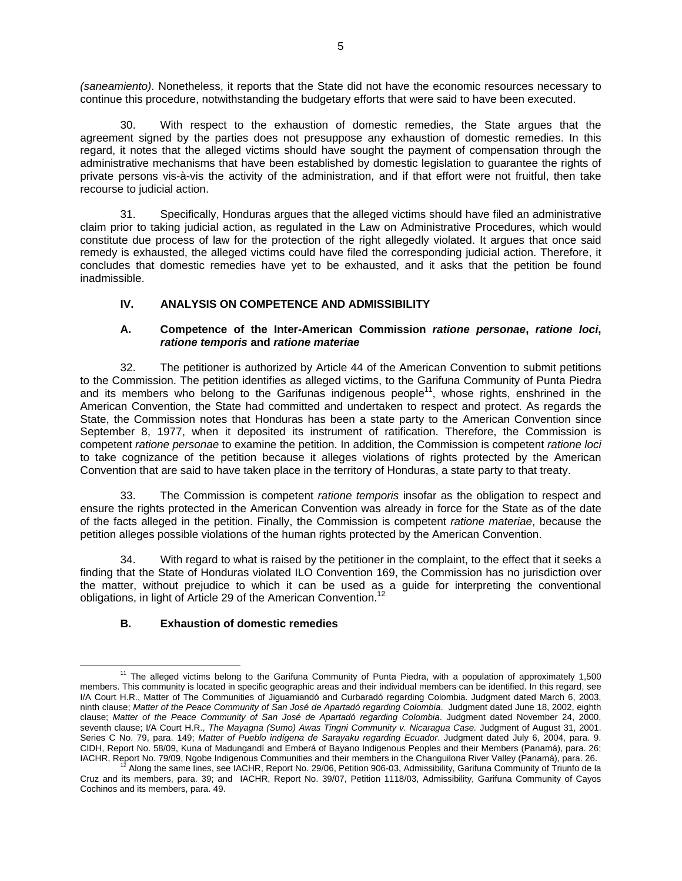*(saneamiento)*. Nonetheless, it reports that the State did not have the economic resources necessary to continue this procedure, notwithstanding the budgetary efforts that were said to have been executed.

30. With respect to the exhaustion of domestic remedies, the State argues that the agreement signed by the parties does not presuppose any exhaustion of domestic remedies. In this regard, it notes that the alleged victims should have sought the payment of compensation through the administrative mechanisms that have been established by domestic legislation to guarantee the rights of private persons vis-à-vis the activity of the administration, and if that effort were not fruitful, then take recourse to judicial action.

31. Specifically, Honduras argues that the alleged victims should have filed an administrative claim prior to taking judicial action, as regulated in the Law on Administrative Procedures, which would constitute due process of law for the protection of the right allegedly violated. It argues that once said remedy is exhausted, the alleged victims could have filed the corresponding judicial action. Therefore, it concludes that domestic remedies have yet to be exhausted, and it asks that the petition be found inadmissible.

# **IV. ANALYSIS ON COMPETENCE AND ADMISSIBILITY**

### **A. Competence of the Inter-American Commission** *ratione personae***,** *ratione loci***,**  *ratione temporis* **and** *ratione materiae*

32. The petitioner is authorized by Article 44 of the American Convention to submit petitions to the Commission. The petition identifies as alleged victims, to the Garifuna Community of Punta Piedra and its members who belong to the Garifunas indigenous people<sup>11</sup>, whose rights, enshrined in the American Convention, the State had committed and undertaken to respect and protect. As regards the State, the Commission notes that Honduras has been a state party to the American Convention since September 8, 1977, when it deposited its instrument of ratification. Therefore, the Commission is competent *ratione personae* to examine the petition. In addition, the Commission is competent *ratione loci* to take cognizance of the petition because it alleges violations of rights protected by the American Convention that are said to have taken place in the territory of Honduras, a state party to that treaty.

33. The Commission is competent *ratione temporis* insofar as the obligation to respect and ensure the rights protected in the American Convention was already in force for the State as of the date of the facts alleged in the petition. Finally, the Commission is competent *ratione materiae*, because the petition alleges possible violations of the human rights protected by the American Convention.

34. With regard to what is raised by the petitioner in the complaint, to the effect that it seeks a finding that the State of Honduras violated ILO Convention 169, the Commission has no jurisdiction over the matter, without prejudice to which it can be used as a guide for interpreting the conventional obligations, in light of Article 29 of the American Convention.<sup>12</sup>

# **B. Exhaustion of domestic remedies**

<sup>&</sup>lt;sup>11</sup> The alleged victims belong to the Garifuna Community of Punta Piedra, with a population of approximately 1,500 members. This community is located in specific geographic areas and their individual members can be identified. In this regard, see I/A Court H.R., Matter of The Communities of Jiguamiandó and Curbaradó regarding Colombia. Judgment dated March 6, 2003, ninth clause; *Matter of the Peace Community of San José de Apartadó regarding Colombia*. Judgment dated June 18, 2002, eighth clause; *Matter of the Peace Community of San José de Apartadó regarding Colombia*. Judgment dated November 24, 2000, seventh clause; I/A Court H.R., *The Mayagna (Sumo) Awas Tingni Community v. Nicaragua Case.* Judgment of August 31, 2001. Series C No. 79, para. 149; *Matter of Pueblo indígena de Sarayaku regarding Ecuador*. Judgment dated July 6, 2004, para. 9. CIDH, Report No. 58/09, Kuna of Madungandí and Emberá of Bayano Indigenous Peoples and their Members (Panamá), para. 26;<br>IACHR, Report No. 79/09, Ngobe Indigenous Communities and their members in the Changuilona River Vall

Along the same lines, see IACHR, Report No. 29/06, Petition 906-03, Admissibility, Garifuna Community of Triunfo de la Cruz and its members, para. 39; and IACHR, Report No. 39/07, Petition 1118/03, Admissibility, Garifuna Community of Cayos Cochinos and its members, para. 49.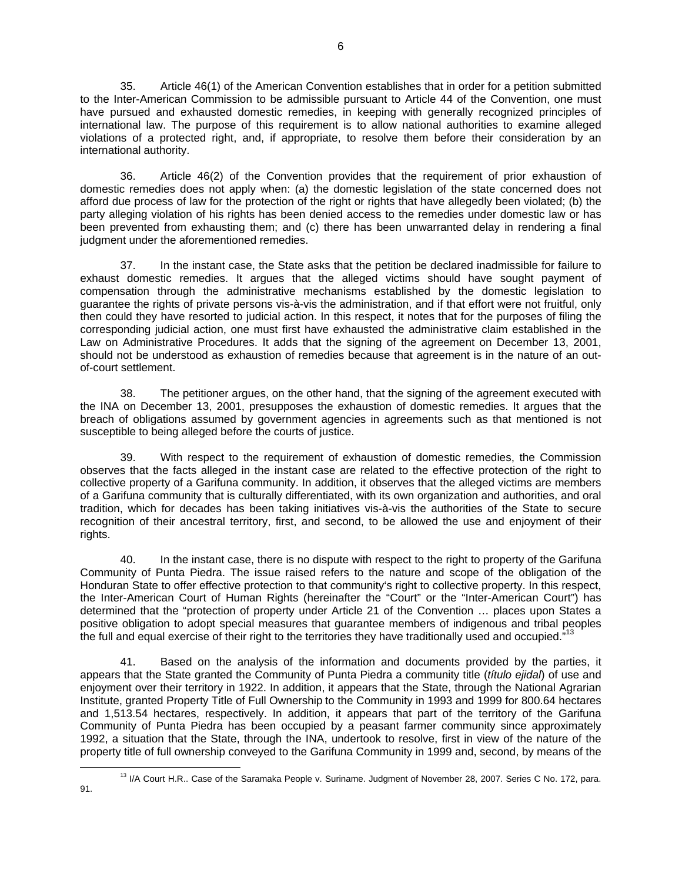35. Article 46(1) of the American Convention establishes that in order for a petition submitted to the Inter-American Commission to be admissible pursuant to Article 44 of the Convention, one must have pursued and exhausted domestic remedies, in keeping with generally recognized principles of international law. The purpose of this requirement is to allow national authorities to examine alleged violations of a protected right, and, if appropriate, to resolve them before their consideration by an international authority.

36. Article 46(2) of the Convention provides that the requirement of prior exhaustion of domestic remedies does not apply when: (a) the domestic legislation of the state concerned does not afford due process of law for the protection of the right or rights that have allegedly been violated; (b) the party alleging violation of his rights has been denied access to the remedies under domestic law or has been prevented from exhausting them; and (c) there has been unwarranted delay in rendering a final judgment under the aforementioned remedies.

37. In the instant case, the State asks that the petition be declared inadmissible for failure to exhaust domestic remedies. It argues that the alleged victims should have sought payment of compensation through the administrative mechanisms established by the domestic legislation to guarantee the rights of private persons vis-à-vis the administration, and if that effort were not fruitful, only then could they have resorted to judicial action. In this respect, it notes that for the purposes of filing the corresponding judicial action, one must first have exhausted the administrative claim established in the Law on Administrative Procedures. It adds that the signing of the agreement on December 13, 2001, should not be understood as exhaustion of remedies because that agreement is in the nature of an outof-court settlement.

38. The petitioner argues, on the other hand, that the signing of the agreement executed with the INA on December 13, 2001, presupposes the exhaustion of domestic remedies. It argues that the breach of obligations assumed by government agencies in agreements such as that mentioned is not susceptible to being alleged before the courts of justice.

39. With respect to the requirement of exhaustion of domestic remedies, the Commission observes that the facts alleged in the instant case are related to the effective protection of the right to collective property of a Garifuna community. In addition, it observes that the alleged victims are members of a Garifuna community that is culturally differentiated, with its own organization and authorities, and oral tradition, which for decades has been taking initiatives vis-à-vis the authorities of the State to secure recognition of their ancestral territory, first, and second, to be allowed the use and enjoyment of their rights.

40. In the instant case, there is no dispute with respect to the right to property of the Garifuna Community of Punta Piedra. The issue raised refers to the nature and scope of the obligation of the Honduran State to offer effective protection to that community's right to collective property. In this respect, the Inter-American Court of Human Rights (hereinafter the "Court" or the "Inter-American Court") has determined that the "protection of property under Article 21 of the Convention … places upon States a positive obligation to adopt special measures that guarantee members of indigenous and tribal peoples the full and equal exercise of their right to the territories they have traditionally used and occupied."<sup>13</sup>

41. Based on the analysis of the information and documents provided by the parties, it appears that the State granted the Community of Punta Piedra a community title (*título ejidal*) of use and enjoyment over their territory in 1922. In addition, it appears that the State, through the National Agrarian Institute, granted Property Title of Full Ownership to the Community in 1993 and 1999 for 800.64 hectares and 1,513.54 hectares, respectively. In addition, it appears that part of the territory of the Garifuna Community of Punta Piedra has been occupied by a peasant farmer community since approximately 1992, a situation that the State, through the INA, undertook to resolve, first in view of the nature of the property title of full ownership conveyed to the Garifuna Community in 1999 and, second, by means of the

91.

<sup>&</sup>lt;sup>13</sup> I/A Court H.R.. Case of the Saramaka People v. Suriname. Judgment of November 28, 2007. Series C No. 172, para.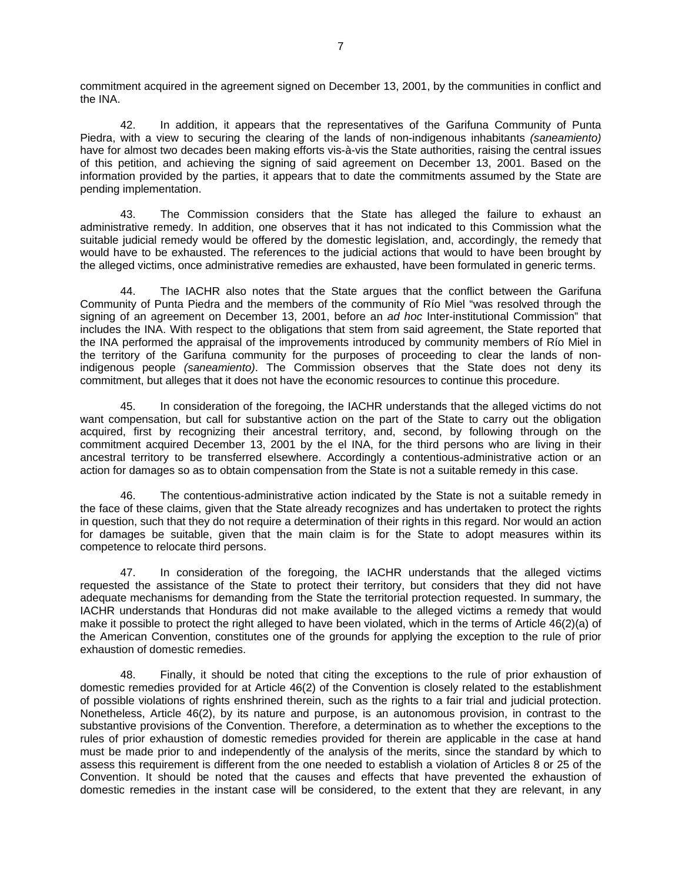commitment acquired in the agreement signed on December 13, 2001, by the communities in conflict and the INA.

42. In addition, it appears that the representatives of the Garifuna Community of Punta Piedra, with a view to securing the clearing of the lands of non-indigenous inhabitants *(saneamiento)* have for almost two decades been making efforts vis-à-vis the State authorities, raising the central issues of this petition, and achieving the signing of said agreement on December 13, 2001. Based on the information provided by the parties, it appears that to date the commitments assumed by the State are pending implementation.

43. The Commission considers that the State has alleged the failure to exhaust an administrative remedy. In addition, one observes that it has not indicated to this Commission what the suitable judicial remedy would be offered by the domestic legislation, and, accordingly, the remedy that would have to be exhausted. The references to the judicial actions that would to have been brought by the alleged victims, once administrative remedies are exhausted, have been formulated in generic terms.

44. The IACHR also notes that the State argues that the conflict between the Garifuna Community of Punta Piedra and the members of the community of Río Miel "was resolved through the signing of an agreement on December 13, 2001, before an *ad hoc* Inter-institutional Commission" that includes the INA. With respect to the obligations that stem from said agreement, the State reported that the INA performed the appraisal of the improvements introduced by community members of Río Miel in the territory of the Garifuna community for the purposes of proceeding to clear the lands of nonindigenous people *(saneamiento)*. The Commission observes that the State does not deny its commitment, but alleges that it does not have the economic resources to continue this procedure.

45. In consideration of the foregoing, the IACHR understands that the alleged victims do not want compensation, but call for substantive action on the part of the State to carry out the obligation acquired, first by recognizing their ancestral territory, and, second, by following through on the commitment acquired December 13, 2001 by the el INA, for the third persons who are living in their ancestral territory to be transferred elsewhere. Accordingly a contentious-administrative action or an action for damages so as to obtain compensation from the State is not a suitable remedy in this case.

46. The contentious-administrative action indicated by the State is not a suitable remedy in the face of these claims, given that the State already recognizes and has undertaken to protect the rights in question, such that they do not require a determination of their rights in this regard. Nor would an action for damages be suitable, given that the main claim is for the State to adopt measures within its competence to relocate third persons.

47. In consideration of the foregoing, the IACHR understands that the alleged victims requested the assistance of the State to protect their territory, but considers that they did not have adequate mechanisms for demanding from the State the territorial protection requested. In summary, the IACHR understands that Honduras did not make available to the alleged victims a remedy that would make it possible to protect the right alleged to have been violated, which in the terms of Article 46(2)(a) of the American Convention, constitutes one of the grounds for applying the exception to the rule of prior exhaustion of domestic remedies.

48. Finally, it should be noted that citing the exceptions to the rule of prior exhaustion of domestic remedies provided for at Article 46(2) of the Convention is closely related to the establishment of possible violations of rights enshrined therein, such as the rights to a fair trial and judicial protection. Nonetheless, Article 46(2), by its nature and purpose, is an autonomous provision, in contrast to the substantive provisions of the Convention. Therefore, a determination as to whether the exceptions to the rules of prior exhaustion of domestic remedies provided for therein are applicable in the case at hand must be made prior to and independently of the analysis of the merits, since the standard by which to assess this requirement is different from the one needed to establish a violation of Articles 8 or 25 of the Convention. It should be noted that the causes and effects that have prevented the exhaustion of domestic remedies in the instant case will be considered, to the extent that they are relevant, in any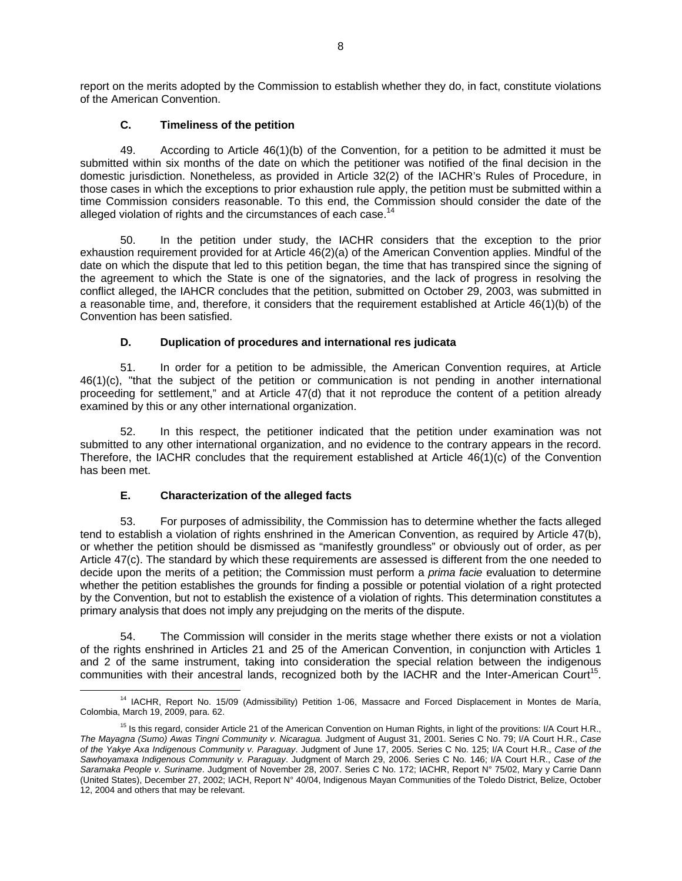report on the merits adopted by the Commission to establish whether they do, in fact, constitute violations of the American Convention.

# **C. Timeliness of the petition**

49. According to Article 46(1)(b) of the Convention, for a petition to be admitted it must be submitted within six months of the date on which the petitioner was notified of the final decision in the domestic jurisdiction. Nonetheless, as provided in Article 32(2) of the IACHR's Rules of Procedure, in those cases in which the exceptions to prior exhaustion rule apply, the petition must be submitted within a time Commission considers reasonable. To this end, the Commission should consider the date of the alleged violation of rights and the circumstances of each case.<sup>14</sup>

50. In the petition under study, the IACHR considers that the exception to the prior exhaustion requirement provided for at Article 46(2)(a) of the American Convention applies. Mindful of the date on which the dispute that led to this petition began, the time that has transpired since the signing of the agreement to which the State is one of the signatories, and the lack of progress in resolving the conflict alleged, the IAHCR concludes that the petition, submitted on October 29, 2003, was submitted in a reasonable time, and, therefore, it considers that the requirement established at Article 46(1)(b) of the Convention has been satisfied.

# **D. Duplication of procedures and international res judicata**

51. In order for a petition to be admissible, the American Convention requires, at Article 46(1)(c), "that the subject of the petition or communication is not pending in another international proceeding for settlement," and at Article 47(d) that it not reproduce the content of a petition already examined by this or any other international organization.

52. In this respect, the petitioner indicated that the petition under examination was not submitted to any other international organization, and no evidence to the contrary appears in the record. Therefore, the IACHR concludes that the requirement established at Article 46(1)(c) of the Convention has been met.

# **E. Characterization of the alleged facts**

53. For purposes of admissibility, the Commission has to determine whether the facts alleged tend to establish a violation of rights enshrined in the American Convention, as required by Article 47(b), or whether the petition should be dismissed as "manifestly groundless" or obviously out of order, as per Article 47(c). The standard by which these requirements are assessed is different from the one needed to decide upon the merits of a petition; the Commission must perform a *prima facie* evaluation to determine whether the petition establishes the grounds for finding a possible or potential violation of a right protected by the Convention, but not to establish the existence of a violation of rights. This determination constitutes a primary analysis that does not imply any prejudging on the merits of the dispute.

54. The Commission will consider in the merits stage whether there exists or not a violation of the rights enshrined in Articles 21 and 25 of the American Convention, in conjunction with Articles 1 and 2 of the same instrument, taking into consideration the special relation between the indigenous communities with their ancestral lands, recognized both by the IACHR and the Inter-American Court<sup>15</sup>.

<sup>&</sup>lt;sup>14</sup> IACHR, Report No. 15/09 (Admissibility) Petition 1-06, Massacre and Forced Displacement in Montes de María, Colombia, March 19, 2009, para. 62.

<sup>&</sup>lt;sup>15</sup> Is this regard, consider Article 21 of the American Convention on Human Rights, in light of the provitions: I/A Court H.R., *The Mayagna (Sumo) Awas Tingni Community v. Nicaragua.* Judgment of August 31, 2001. Series C No. 79; I/A Court H.R., *Case of the Yakye Axa Indigenous Community v. Paraguay*. Judgment of June 17, 2005. Series C No. 125; I/A Court H.R., *Case of the Sawhoyamaxa Indigenous Community v. Paraguay*. Judgment of March 29, 2006. Series C No. 146; I/A Court H.R., *Case of the Saramaka People v. Suriname*. Judgment of November 28, 2007. Series C No. 172; IACHR, Report N° 75/02, Mary y Carrie Dann (United States), December 27, 2002; IACH, Report N° 40/04, Indigenous Mayan Communities of the Toledo District, Belize, October 12, 2004 and others that may be relevant.